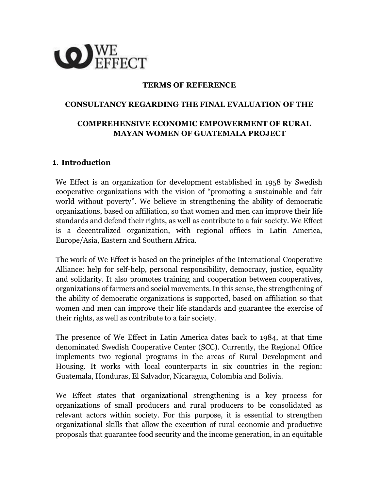

#### **TERMS OF REFERENCE**

#### **CONSULTANCY REGARDING THE FINAL EVALUATION OF THE**

## **COMPREHENSIVE ECONOMIC EMPOWERMENT OF RURAL MAYAN WOMEN OF GUATEMALA PROJECT**

#### **1. Introduction**

We Effect is an organization for development established in 1958 by Swedish cooperative organizations with the vision of "promoting a sustainable and fair world without poverty". We believe in strengthening the ability of democratic organizations, based on affiliation, so that women and men can improve their life standards and defend their rights, as well as contribute to a fair society. We Effect is a decentralized organization, with regional offices in Latin America, Europe/Asia, Eastern and Southern Africa.

The work of We Effect is based on the principles of the International Cooperative Alliance: help for self-help, personal responsibility, democracy, justice, equality and solidarity. It also promotes training and cooperation between cooperatives, organizations of farmers and social movements. In this sense, the strengthening of the ability of democratic organizations is supported, based on affiliation so that women and men can improve their life standards and guarantee the exercise of their rights, as well as contribute to a fair society.

The presence of We Effect in Latin America dates back to 1984, at that time denominated Swedish Cooperative Center (SCC). Currently, the Regional Office implements two regional programs in the areas of Rural Development and Housing. It works with local counterparts in six countries in the region: Guatemala, Honduras, El Salvador, Nicaragua, Colombia and Bolivia.

We Effect states that organizational strengthening is a key process for organizations of small producers and rural producers to be consolidated as relevant actors within society. For this purpose, it is essential to strengthen organizational skills that allow the execution of rural economic and productive proposals that guarantee food security and the income generation, in an equitable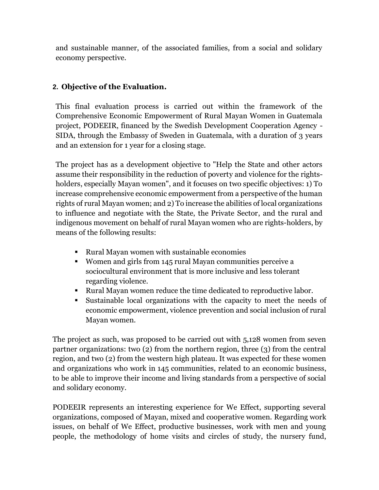and sustainable manner, of the associated families, from a social and solidary economy perspective.

# **2. Objective of the Evaluation.**

This final evaluation process is carried out within the framework of the Comprehensive Economic Empowerment of Rural Mayan Women in Guatemala project, PODEEIR, financed by the Swedish Development Cooperation Agency - SIDA, through the Embassy of Sweden in Guatemala, with a duration of 3 years and an extension for 1 year for a closing stage.

The project has as a development objective to "Help the State and other actors assume their responsibility in the reduction of poverty and violence for the rightsholders, especially Mayan women", and it focuses on two specific objectives: 1) To increase comprehensive economic empowerment from a perspective of the human rights of rural Mayan women; and 2) To increase the abilities of local organizations to influence and negotiate with the State, the Private Sector, and the rural and indigenous movement on behalf of rural Mayan women who are rights-holders, by means of the following results:

- Rural Mayan women with sustainable economies
- Women and girls from 145 rural Mayan communities perceive a sociocultural environment that is more inclusive and less tolerant regarding violence.
- Rural Mayan women reduce the time dedicated to reproductive labor.
- Sustainable local organizations with the capacity to meet the needs of economic empowerment, violence prevention and social inclusion of rural Mayan women.

The project as such, was proposed to be carried out with 5,128 women from seven partner organizations: two (2) from the northern region, three (3) from the central region, and two (2) from the western high plateau. It was expected for these women and organizations who work in 145 communities, related to an economic business, to be able to improve their income and living standards from a perspective of social and solidary economy.

PODEEIR represents an interesting experience for We Effect, supporting several organizations, composed of Mayan, mixed and cooperative women. Regarding work issues, on behalf of We Effect, productive businesses, work with men and young people, the methodology of home visits and circles of study, the nursery fund,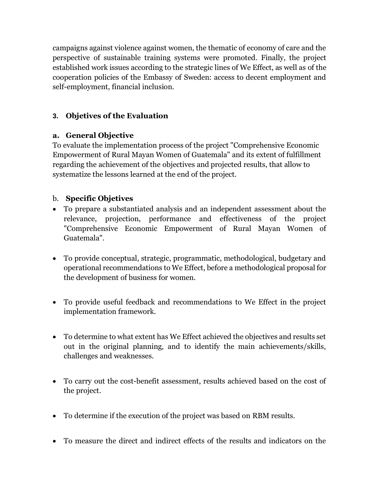campaigns against violence against women, the thematic of economy of care and the perspective of sustainable training systems were promoted. Finally, the project established work issues according to the strategic lines of We Effect, as well as of the cooperation policies of the Embassy of Sweden: access to decent employment and self-employment, financial inclusion.

# **3. Objetives of the Evaluation**

### **a. General Objective**

To evaluate the implementation process of the project "Comprehensive Economic Empowerment of Rural Mayan Women of Guatemala" and its extent of fulfillment regarding the achievement of the objectives and projected results, that allow to systematize the lessons learned at the end of the project.

# b. **Specific Objetives**

- To prepare a substantiated analysis and an independent assessment about the relevance, projection, performance and effectiveness of the project "Comprehensive Economic Empowerment of Rural Mayan Women of Guatemala".
- To provide conceptual, strategic, programmatic, methodological, budgetary and operational recommendations to We Effect, before a methodological proposal for the development of business for women.
- To provide useful feedback and recommendations to We Effect in the project implementation framework.
- To determine to what extent has We Effect achieved the objectives and results set out in the original planning, and to identify the main achievements/skills, challenges and weaknesses.
- To carry out the cost-benefit assessment, results achieved based on the cost of the project.
- To determine if the execution of the project was based on RBM results.
- To measure the direct and indirect effects of the results and indicators on the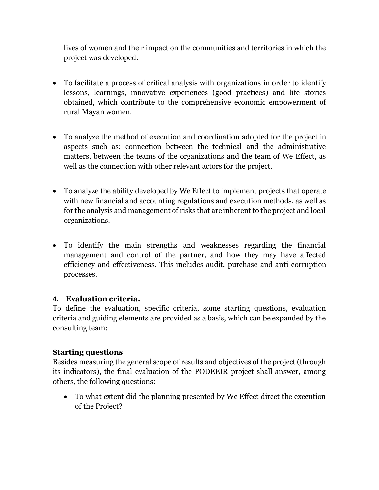lives of women and their impact on the communities and territories in which the project was developed.

- To facilitate a process of critical analysis with organizations in order to identify lessons, learnings, innovative experiences (good practices) and life stories obtained, which contribute to the comprehensive economic empowerment of rural Mayan women.
- To analyze the method of execution and coordination adopted for the project in aspects such as: connection between the technical and the administrative matters, between the teams of the organizations and the team of We Effect, as well as the connection with other relevant actors for the project.
- To analyze the ability developed by We Effect to implement projects that operate with new financial and accounting regulations and execution methods, as well as for the analysis and management of risks that are inherent to the project and local organizations.
- To identify the main strengths and weaknesses regarding the financial management and control of the partner, and how they may have affected efficiency and effectiveness. This includes audit, purchase and anti-corruption processes.

### **4. Evaluation criteria.**

To define the evaluation, specific criteria, some starting questions, evaluation criteria and guiding elements are provided as a basis, which can be expanded by the consulting team:

#### **Starting questions**

Besides measuring the general scope of results and objectives of the project (through its indicators), the final evaluation of the PODEEIR project shall answer, among others, the following questions:

• To what extent did the planning presented by We Effect direct the execution of the Project?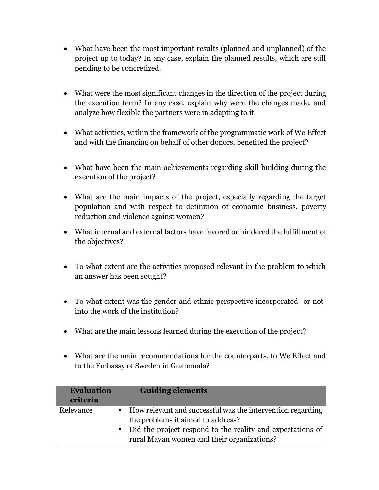- What have been the most important results (planned and unplanned) of the project up to today? In any case, explain the planned results, which are still pending to be concretized.
- What were the most significant changes in the direction of the project during the execution term? In any case, explain why were the changes made, and analyze how flexible the partners were in adapting to it.
- What activities, within the framework of the programmatic work of We Effect and with the financing on behalf of other donors, benefited the project?
- What have been the main achievements regarding skill building during the execution of the project?
- What are the main impacts of the project, especially regarding the target population and with respect to definition of economic business, poverty reduction and violence against women?
- What internal and external factors have favored or hindered the fulfillment of the objectives?
- To what extent are the activities proposed relevant in the problem to which an answer has been sought?
- To what extent was the gender and ethnic perspective incorporated -or notinto the work of the institution?
- What are the main lessons learned during the execution of the project?
- What are the main recommendations for the counterparts, to We Effect and to the Embassy of Sweden in Guatemala?

| <b>Evaluation</b><br>criteria | <b>Guiding elements</b>                                                                                                                                                                                         |
|-------------------------------|-----------------------------------------------------------------------------------------------------------------------------------------------------------------------------------------------------------------|
| Relevance                     | • How relevant and successful was the intervention regarding<br>the problems it aimed to address?<br>• Did the project respond to the reality and expectations of<br>rural Mayan women and their organizations? |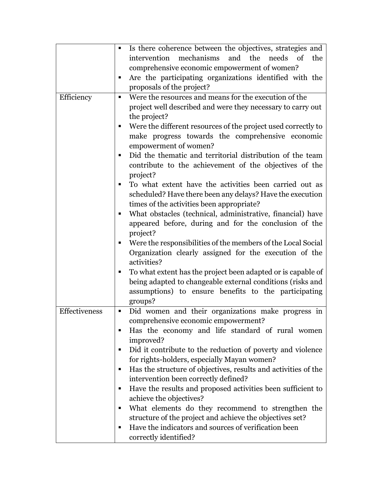|               | Is there coherence between the objectives, strategies and<br>٠      |
|---------------|---------------------------------------------------------------------|
|               | mechanisms<br>intervention<br>and the<br>needs<br>of<br>the         |
|               | comprehensive economic empowerment of women?                        |
|               | Are the participating organizations identified with the<br>п        |
|               | proposals of the project?                                           |
| Efficiency    | Were the resources and means for the execution of the<br>٠          |
|               | project well described and were they necessary to carry out         |
|               | the project?                                                        |
|               | Were the different resources of the project used correctly to       |
|               |                                                                     |
|               | make progress towards the comprehensive economic                    |
|               | empowerment of women?                                               |
|               | Did the thematic and territorial distribution of the team           |
|               | contribute to the achievement of the objectives of the              |
|               | project?                                                            |
|               | To what extent have the activities been carried out as<br>٠         |
|               | scheduled? Have there been any delays? Have the execution           |
|               | times of the activities been appropriate?                           |
|               | What obstacles (technical, administrative, financial) have<br>п     |
|               | appeared before, during and for the conclusion of the               |
|               | project?                                                            |
|               | Were the responsibilities of the members of the Local Social<br>п   |
|               | Organization clearly assigned for the execution of the              |
|               | activities?                                                         |
|               | To what extent has the project been adapted or is capable of        |
|               | being adapted to changeable external conditions (risks and          |
|               | assumptions) to ensure benefits to the participating                |
|               | groups?                                                             |
| Effectiveness | Did women and their organizations make progress in<br>٠             |
|               | comprehensive economic empowerment?                                 |
|               | Has the economy and life standard of rural women<br>п               |
|               | improved?                                                           |
|               | Did it contribute to the reduction of poverty and violence<br>٠     |
|               | for rights-holders, especially Mayan women?                         |
|               | Has the structure of objectives, results and activities of the<br>٠ |
|               | intervention been correctly defined?                                |
|               | Have the results and proposed activities been sufficient to<br>п    |
|               | achieve the objectives?                                             |
|               | What elements do they recommend to strengthen the<br>٠              |
|               | structure of the project and achieve the objectives set?            |
|               | Have the indicators and sources of verification been<br>٠           |
|               | correctly identified?                                               |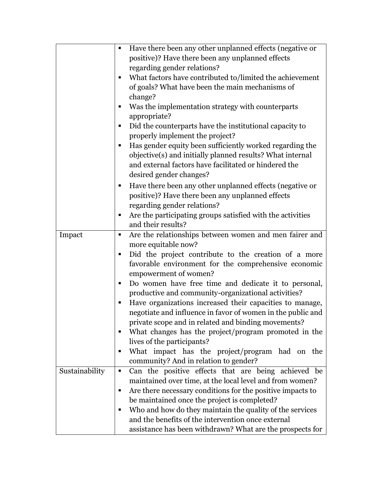|                | Have there been any other unplanned effects (negative or<br>Ξ   |
|----------------|-----------------------------------------------------------------|
|                | positive)? Have there been any unplanned effects                |
|                | regarding gender relations?                                     |
|                | What factors have contributed to/limited the achievement<br>п   |
|                | of goals? What have been the main mechanisms of                 |
|                | change?                                                         |
|                | Was the implementation strategy with counterparts<br>п          |
|                | appropriate?                                                    |
|                | Did the counterparts have the institutional capacity to<br>п    |
|                | properly implement the project?                                 |
|                | Has gender equity been sufficiently worked regarding the<br>п   |
|                | objective(s) and initially planned results? What internal       |
|                | and external factors have facilitated or hindered the           |
|                | desired gender changes?                                         |
|                | Have there been any other unplanned effects (negative or<br>п   |
|                | positive)? Have there been any unplanned effects                |
|                | regarding gender relations?                                     |
|                | Are the participating groups satisfied with the activities<br>п |
|                | and their results?                                              |
|                | п                                                               |
| Impact         | Are the relationships between women and men fairer and          |
|                | more equitable now?                                             |
|                | Did the project contribute to the creation of a more<br>п       |
|                | favorable environment for the comprehensive economic            |
|                | empowerment of women?<br>п                                      |
|                | Do women have free time and dedicate it to personal,            |
|                | productive and community-organizational activities?             |
|                | Have organizations increased their capacities to manage,<br>п   |
|                | negotiate and influence in favor of women in the public and     |
|                | private scope and in related and binding movements?             |
|                | What changes has the project/program promoted in the<br>ш       |
|                | lives of the participants?                                      |
|                | What impact has the project/program had on the<br>п             |
|                | community? And in relation to gender?                           |
| Sustainability | Can the positive effects that are being achieved be<br>п        |
|                | maintained over time, at the local level and from women?        |
|                | Are there necessary conditions for the positive impacts to<br>п |
|                | be maintained once the project is completed?                    |
|                | Who and how do they maintain the quality of the services<br>п   |
|                | and the benefits of the intervention once external              |
|                | assistance has been withdrawn? What are the prospects for       |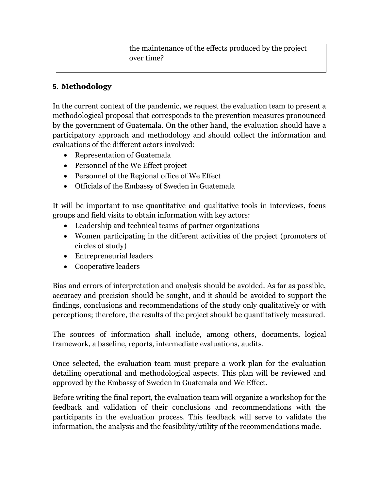| the maintenance of the effects produced by the project |
|--------------------------------------------------------|
| over time?                                             |

## **5. Methodology**

In the current context of the pandemic, we request the evaluation team to present a methodological proposal that corresponds to the prevention measures pronounced by the government of Guatemala. On the other hand, the evaluation should have a participatory approach and methodology and should collect the information and evaluations of the different actors involved:

- Representation of Guatemala
- Personnel of the We Effect project
- Personnel of the Regional office of We Effect
- Officials of the Embassy of Sweden in Guatemala

It will be important to use quantitative and qualitative tools in interviews, focus groups and field visits to obtain information with key actors:

- Leadership and technical teams of partner organizations
- Women participating in the different activities of the project (promoters of circles of study)
- Entrepreneurial leaders
- Cooperative leaders

Bias and errors of interpretation and analysis should be avoided. As far as possible, accuracy and precision should be sought, and it should be avoided to support the findings, conclusions and recommendations of the study only qualitatively or with perceptions; therefore, the results of the project should be quantitatively measured.

The sources of information shall include, among others, documents, logical framework, a baseline, reports, intermediate evaluations, audits.

Once selected, the evaluation team must prepare a work plan for the evaluation detailing operational and methodological aspects. This plan will be reviewed and approved by the Embassy of Sweden in Guatemala and We Effect.

Before writing the final report, the evaluation team will organize a workshop for the feedback and validation of their conclusions and recommendations with the participants in the evaluation process. This feedback will serve to validate the information, the analysis and the feasibility/utility of the recommendations made.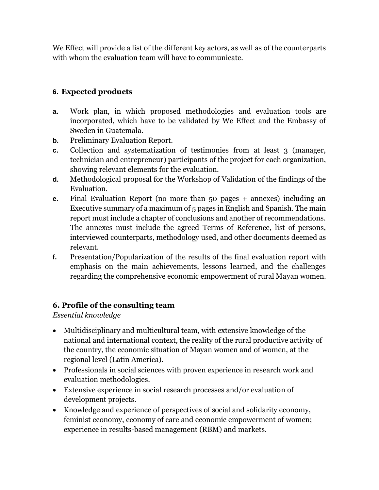We Effect will provide a list of the different key actors, as well as of the counterparts with whom the evaluation team will have to communicate.

# **6. Expected products**

- **a.** Work plan, in which proposed methodologies and evaluation tools are incorporated, which have to be validated by We Effect and the Embassy of Sweden in Guatemala.
- **b.** Preliminary Evaluation Report.
- **c.** Collection and systematization of testimonies from at least 3 (manager, technician and entrepreneur) participants of the project for each organization, showing relevant elements for the evaluation.
- **d.** Methodological proposal for the Workshop of Validation of the findings of the Evaluation.
- **e.** Final Evaluation Report (no more than 50 pages + annexes) including an Executive summary of a maximum of 5 pages in English and Spanish. The main report must include a chapter of conclusions and another of recommendations. The annexes must include the agreed Terms of Reference, list of persons, interviewed counterparts, methodology used, and other documents deemed as relevant.
- **f.** Presentation/Popularization of the results of the final evaluation report with emphasis on the main achievements, lessons learned, and the challenges regarding the comprehensive economic empowerment of rural Mayan women.

# **6. Profile of the consulting team**

*Essential knowledge*

- Multidisciplinary and multicultural team, with extensive knowledge of the national and international context, the reality of the rural productive activity of the country, the economic situation of Mayan women and of women, at the regional level (Latin America).
- Professionals in social sciences with proven experience in research work and evaluation methodologies.
- Extensive experience in social research processes and/or evaluation of development projects.
- Knowledge and experience of perspectives of social and solidarity economy, feminist economy, economy of care and economic empowerment of women; experience in results-based management (RBM) and markets.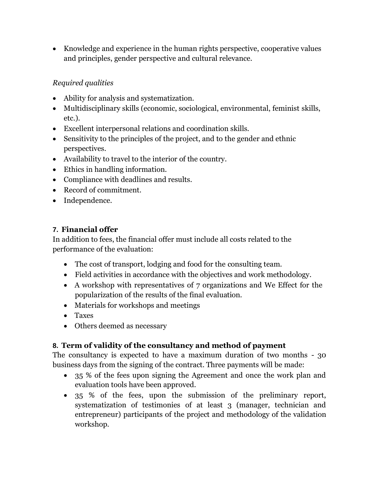• Knowledge and experience in the human rights perspective, cooperative values and principles, gender perspective and cultural relevance.

# *Required qualities*

- Ability for analysis and systematization.
- Multidisciplinary skills (economic, sociological, environmental, feminist skills, etc.).
- Excellent interpersonal relations and coordination skills.
- Sensitivity to the principles of the project, and to the gender and ethnic perspectives.
- Availability to travel to the interior of the country.
- Ethics in handling information.
- Compliance with deadlines and results.
- Record of commitment.
- Independence.

# **7. Financial offer**

In addition to fees, the financial offer must include all costs related to the performance of the evaluation:

- The cost of transport, lodging and food for the consulting team.
- Field activities in accordance with the objectives and work methodology.
- A workshop with representatives of 7 organizations and We Effect for the popularization of the results of the final evaluation.
- Materials for workshops and meetings
- Taxes
- Others deemed as necessary

# **8. Term of validity of the consultancy and method of payment**

The consultancy is expected to have a maximum duration of two months - 30 business days from the signing of the contract. Three payments will be made:

- 35 % of the fees upon signing the Agreement and once the work plan and evaluation tools have been approved.
- 35 % of the fees, upon the submission of the preliminary report, systematization of testimonies of at least 3 (manager, technician and entrepreneur) participants of the project and methodology of the validation workshop.